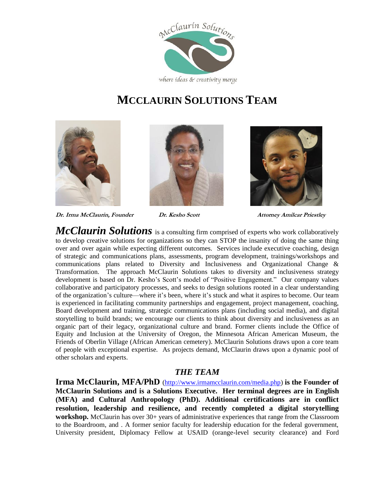

## **MCCLAURIN SOLUTIONS TEAM**







**Dr. Irma McClaurin, Founder****Dr. Kesho Scott Attorney Amilcar Priestley**

*McClaurin Solutions* is a consulting firm comprised of experts who work collaboratively to develop creative solutions for organizations so they can STOP the insanity of doing the same thing over and over again while expecting different outcomes. Services include executive coaching, design of strategic and communications plans, assessments, program development, trainings/workshops and communications plans related to Diversity and Inclusiveness and Organizational Change & Transformation. The approach McClaurin Solutions takes to diversity and inclusiveness strategy development is based on Dr. Kesho's Scott's model of "Positive Engagement." Our company values collaborative and participatory processes, and seeks to design solutions rooted in a clear understanding of the organization's culture—where it's been, where it's stuck and what it aspires to become. Our team is experienced in facilitating community partnerships and engagement, project management, coaching, Board development and training, strategic communications plans (including social media), and digital storytelling to build brands; we encourage our clients to think about diversity and inclusiveness as an organic part of their legacy, organizational culture and brand. Former clients include the Office of Equity and Inclusion at the University of Oregon, the Minnesota African American Museum, the Friends of Oberlin Village (African American cemetery). McClaurin Solutions draws upon a core team of people with exceptional expertise. As projects demand, McClaurin draws upon a dynamic pool of other scholars and experts.

## *THE TEAM*

**Irma McClaurin, MFA/PhD** [\(http://www.irmamcclaurin.com/media.php\)](http://www.irmamcclaurin.com/media.php) **is the Founder of McClaurin Solutions and is a Solutions Executive. Her terminal degrees are in English (MFA) and Cultural Anthropology (PhD). Additional certifications are in conflict resolution, leadership and resilience, and recently completed a digital storytelling workshop.** McClaurin has over 30+ years of administrative experiences that range from the Classroom to the Boardroom, and . A former senior faculty for leadership education for the federal government, University president, Diplomacy Fellow at USAID (orange-level security clearance) and Ford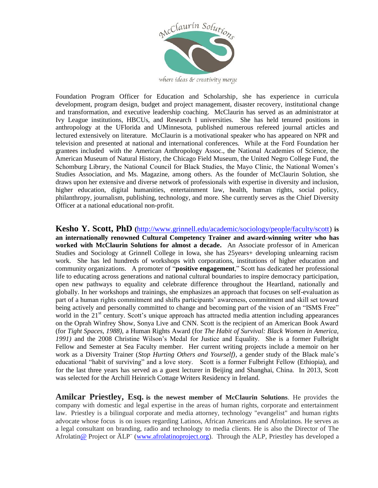

where ideas & creativity merge

Foundation Program Officer for Education and Scholarship, she has experience in curricula development, program design, budget and project management, disaster recovery, institutional change and transformation, and executive leadership coaching. McClaurin has served as an administrator at Ivy League institutions, HBCUs, and Research I universities. She has held tenured positions in anthropology at the UFlorida and UMinnesota, published numerous refereed journal articles and lectured extensively on literature. McClaurin is a motivational speaker who has appeared on NPR and television and presented at national and international conferences. While at the Ford Foundation her grantees included with the American Anthropology Assoc., the National Academies of Science, the American Museum of Natural History, the Chicago Field Museum, the United Negro College Fund, the Schomburg Library, the National Council for Black Studies, the Mayo Clinic, the National Women's Studies Association, and Ms. Magazine, among others. As the founder of McClaurin Solution, she draws upon her extensive and diverse network of professionals with expertise in diversity and inclusion, higher education, digital humanities, entertainment law, health, human rights, social policy, philanthropy, journalism, publishing, technology, and more. She currently serves as the Chief Diversity Officer at a national educational non-profit.

**Kesho Y. Scott, PhD (**[http://www.grinnell.edu/academic/sociology/people/faculty/scott\)](http://www.grinnell.edu/academic/sociology/people/faculty/scott) **is an internationally renowned Cultural Competency Trainer and award-winning writer who has worked with McClaurin Solutions for almost a decade.** An Associate professor of in American Studies and Sociology at Grinnell College in Iowa, she has 25years+ developing unlearning racism work. She has led hundreds of workshops with corporations, institutions of higher education and community organizations. A promoter of "**positive engagement**," Scott has dedicated her professional life to educating across generations and national cultural boundaries to inspire democracy participation, open new pathways to equality and celebrate difference throughout the Heartland, nationally and globally. In her workshops and trainings, she emphasizes an approach that focuses on self-evaluation as part of a human rights commitment and shifts participants' awareness, commitment and skill set toward being actively and personally committed to change and becoming part of the vision of an "ISMS Free" world in the 21<sup>st</sup> century. Scott's unique approach has attracted media attention including appearances on the Oprah Winfrey Show, Sonya Live and CNN. Scott is the recipient of an American Book Award (for *Tight Spaces, 1988),* a Human Rights Award (for *The Habit of Survival: Black Women in America, 1991)* and the 2008 Christine Wilson's Medal for Justice and Equality. She is a former Fulbright Fellow and Semester at Sea Faculty member. Her current writing projects include a memoir on her work as a Diversity Trainer (*Stop Hurting Others and Yourself)*, a gender study of the Black male's educational "habit of surviving" and a love story. Scott is a former Fulbright Fellow (Ethiopia), and for the last three years has served as a guest lecturer in Beijing and Shanghai, China. In 2013, Scott was selected for the Archill Heinrich Cottage Writers Residency in Ireland.

**Amilcar Priestley, Esq. is the newest member of McClaurin Solutions**. He provides the company with domestic and legal expertise in the areas of human rights, corporate and entertainment law. Priestley is a bilingual corporate and media attorney, technology "evangelist" and human rights advocate whose focus is on issues regarding Latinos, African Americans and Afrolatinos. He serves as a legal consultant on branding, radio and technology to media clients. He is also the Director of The Afrolati[n@](https://twitter.com/afrochucho) Project or ÄLP¨ [\(www.afrolatinoproject.org\)](http://www.afrolatinoproject.org/). Through the ALP, Priestley has developed a